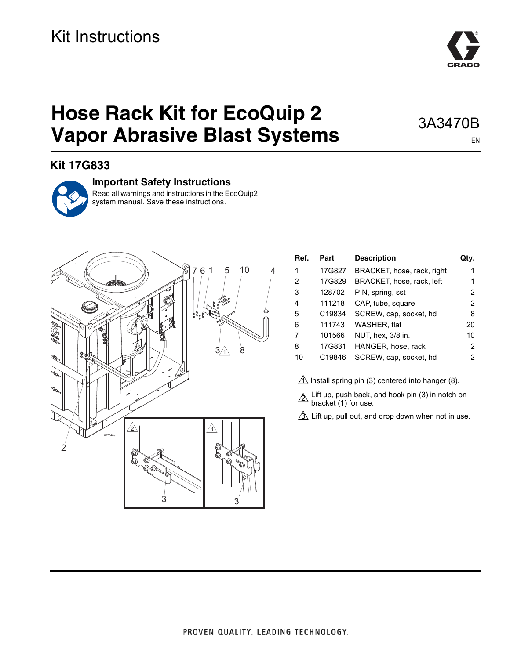# **Hose Rack Kit for EcoQuip 2 Vapor Abrasive Blast Systems**

## **Kit 17G833**



#### **Important Safety Instructions**

Read all warnings and instructions in the EcoQuip2 system manual. Save these instructions.



| Ref. | Part   | <b>Description</b>         | Otv.          |
|------|--------|----------------------------|---------------|
| 1    | 17G827 | BRACKET, hose, rack, right | 1             |
| 2    | 17G829 | BRACKET, hose, rack, left  | 1             |
| 3    | 128702 | PIN, spring, sst           | 2             |
| 4    | 111218 | CAP, tube, square          | $\mathcal{P}$ |
| 5    | C19834 | SCREW, cap, socket, hd     | 8             |
| 6    | 111743 | WASHER, flat               | 20            |
| 7    | 101566 | NUT, hex, 3/8 in.          | 10            |
| 8    | 17G831 | HANGER, hose, rack         | 2             |
| 10   | C19846 | SCREW, cap, socket, hd     | 2             |

 $\underline{\Uparrow}$  Install spring pin (3) centered into hanger (8).

 $\triangle$  Lift up, push back, and hook pin (3) in notch on bracket (1) for use.

 $\mathfrak A$  Lift up, pull out, and drop down when not in use.



### 3A3470B EN